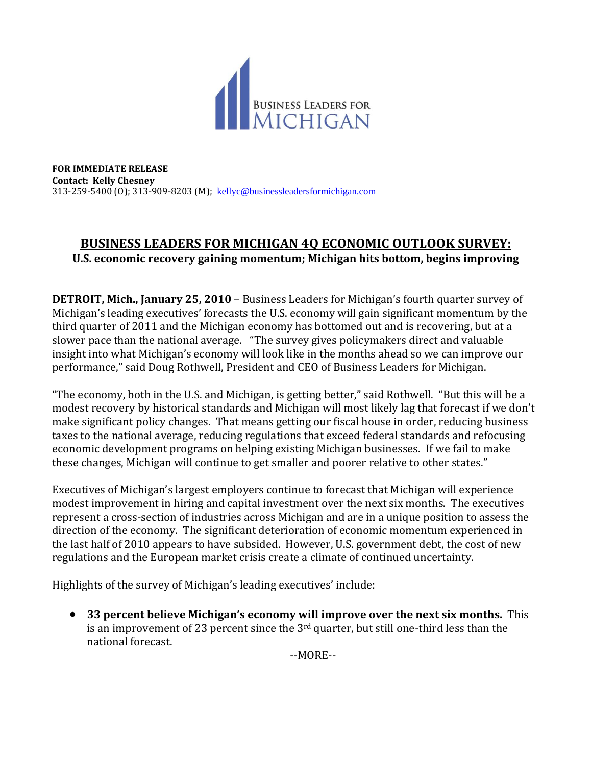

**FOR IMMEDIATE RELEASE Contact: Kelly Chesney** 313-259-5400 (O); 313-909-8203 (M); [kellyc@businessleadersformichigan.com](mailto:kellyc@businessleadersformichigan.com)

## **BUSINESS LEADERS FOR MICHIGAN 4Q ECONOMIC OUTLOOK SURVEY: U.S. economic recovery gaining momentum; Michigan hits bottom, begins improving**

**DETROIT, Mich., January 25, 2010** – Business Leaders for Michigan's fourth quarter survey of Michigan's leading executives' forecasts the U.S. economy will gain significant momentum by the third quarter of 2011 and the Michigan economy has bottomed out and is recovering, but at a slower pace than the national average. "The survey gives policymakers direct and valuable insight into what Michigan's economy will look like in the months ahead so we can improve our performance," said Doug Rothwell, President and CEO of Business Leaders for Michigan.

"The economy, both in the U.S. and Michigan, is getting better," said Rothwell. "But this will be a modest recovery by historical standards and Michigan will most likely lag that forecast if we don't make significant policy changes. That means getting our fiscal house in order, reducing business taxes to the national average, reducing regulations that exceed federal standards and refocusing economic development programs on helping existing Michigan businesses. If we fail to make these changes, Michigan will continue to get smaller and poorer relative to other states."

Executives of Michigan's largest employers continue to forecast that Michigan will experience modest improvement in hiring and capital investment over the next six months. The executives represent a cross-section of industries across Michigan and are in a unique position to assess the direction of the economy. The significant deterioration of economic momentum experienced in the last half of 2010 appears to have subsided. However, U.S. government debt, the cost of new regulations and the European market crisis create a climate of continued uncertainty.

Highlights of the survey of Michigan's leading executives' include:

 **33 percent believe Michigan's economy will improve over the next six months.** This is an improvement of 23 percent since the  $3<sup>rd</sup>$  quarter, but still one-third less than the national forecast.

--MORE--